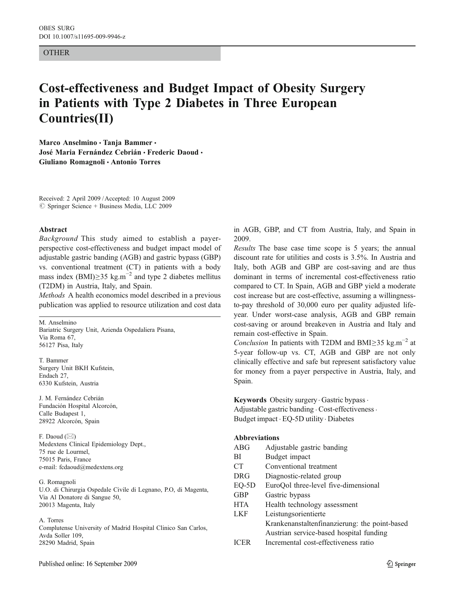#### OTHER

# Cost-effectiveness and Budget Impact of Obesity Surgery in Patients with Type 2 Diabetes in Three European Countries(II)

Marco Anselmino · Tanja Bammer · José Maria Fernández Cebrián • Frederic Daoud • Giuliano Romagnoli & Antonio Torres

Received: 2 April 2009 /Accepted: 10 August 2009  $\circ$  Springer Science + Business Media, LLC 2009

#### Abstract

Background This study aimed to establish a payerperspective cost-effectiveness and budget impact model of adjustable gastric banding (AGB) and gastric bypass (GBP) vs. conventional treatment (CT) in patients with a body mass index (BMI)≥35 kg.m<sup>-2</sup> and type 2 diabetes mellitus (T2DM) in Austria, Italy, and Spain.

Methods A health economics model described in a previous publication was applied to resource utilization and cost data

M. Anselmino Bariatric Surgery Unit, Azienda Ospedaliera Pisana, Via Roma 67, 56127 Pisa, Italy

T. Bammer Surgery Unit BKH Kufstein, Endach 27, 6330 Kufstein, Austria

J. M. Fernández Cebrián Fundación Hospital Alcorcón, Calle Budapest 1, 28922 Alcorcón, Spain

F. Daoud (*\**) Medextens Clinical Epidemiology Dept., 75 rue de Lourmel, 75015 Paris, France e-mail: fcdaoud@medextens.org

G. Romagnoli U.O. di Chirurgia Ospedale Civile di Legnano, P.O, di Magenta, Via Al Donatore di Sangue 50, 20013 Magenta, Italy

#### A. Torres

Complutense University of Madrid Hospital Clinico San Carlos, Avda Soller 109, 28290 Madrid, Spain

in AGB, GBP, and CT from Austria, Italy, and Spain in 2009.

Results The base case time scope is 5 years; the annual discount rate for utilities and costs is 3.5%. In Austria and Italy, both AGB and GBP are cost-saving and are thus dominant in terms of incremental cost-effectiveness ratio compared to CT. In Spain, AGB and GBP yield a moderate cost increase but are cost-effective, assuming a willingnessto-pay threshold of 30,000 euro per quality adjusted lifeyear. Under worst-case analysis, AGB and GBP remain cost-saving or around breakeven in Austria and Italy and remain cost-effective in Spain.

Conclusion In patients with T2DM and BMI≥35 kg.m<sup>-2</sup> at 5-year follow-up vs. CT, AGB and GBP are not only clinically effective and safe but represent satisfactory value for money from a payer perspective in Austria, Italy, and Spain.

Keywords Obesity surgery · Gastric bypass · Adjustable gastric banding . Cost-effectiveness . Budget impact . EQ-5D utility . Diabetes

## Abbreviations

| <b>ABG</b>      | Adjustable gastric banding                    |
|-----------------|-----------------------------------------------|
| BI              | Budget impact                                 |
| CT <sup>-</sup> | Conventional treatment                        |
| <b>DRG</b>      | Diagnostic-related group                      |
| $EO-5D$         | EuroQol three-level five-dimensional          |
| <b>GBP</b>      | Gastric bypass                                |
| <b>HTA</b>      | Health technology assessment                  |
| <b>LKF</b>      | Leistungsorientierte                          |
|                 | Krankenanstaltenfinanzierung: the point-based |
|                 | Austrian service-based hospital funding       |
| <b>ICER</b>     | Incremental cost-effectiveness ratio          |
|                 |                                               |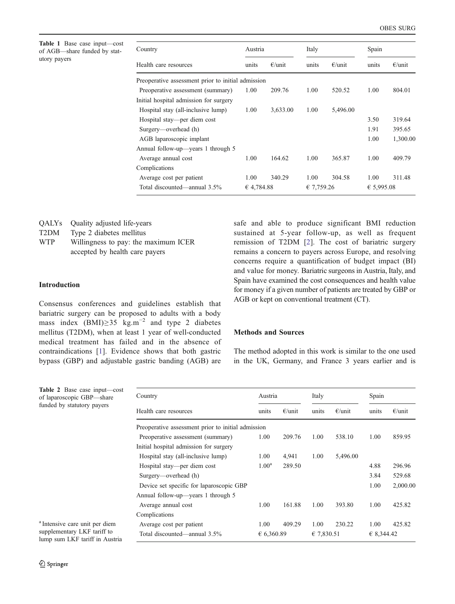<span id="page-1-0"></span>Table 1 Base case input—cost of AGB—share funded by statutory payers

| Country                                            | Austria    |                  | Italy      |                  | Spain      |                  |
|----------------------------------------------------|------------|------------------|------------|------------------|------------|------------------|
| Health care resources                              | units      | $\epsilon$ /unit | units      | $\epsilon$ /unit | units      | $\epsilon$ /unit |
| Preoperative assessment prior to initial admission |            |                  |            |                  |            |                  |
| Preoperative assessment (summary)                  | 1.00       | 209.76           | 1.00       | 520.52           | 1.00       | 804.01           |
| Initial hospital admission for surgery             |            |                  |            |                  |            |                  |
| Hospital stay (all-inclusive lump)                 | 1.00       | 3,633.00         | 1.00       | 5,496.00         |            |                  |
| Hospital stay—per diem cost                        |            |                  |            |                  | 3.50       | 319.64           |
| Surgery—overhead (h)                               |            |                  |            |                  | 1.91       | 395.65           |
| AGB laparoscopic implant                           |            |                  |            |                  | 1.00       | 1,300.00         |
| Annual follow-up—years 1 through 5                 |            |                  |            |                  |            |                  |
| Average annual cost                                | 1.00       | 164.62           | 1.00       | 365.87           | 1.00       | 409.79           |
| Complications                                      |            |                  |            |                  |            |                  |
| Average cost per patient                           | 1.00       | 340.29           | 1.00       | 304.58           | 1.00       | 311.48           |
| Total discounted—annual 3.5%                       | € 4,784.88 |                  | € 7,759.26 |                  | € 5,995.08 |                  |

|                   | QALYs Quality adjusted life-years |
|-------------------|-----------------------------------|
| T <sub>2</sub> DM | Type 2 diabetes mellitus          |

| <b>WTP</b> | Willingness to pay: the maximum ICER |  |
|------------|--------------------------------------|--|
|            | accepted by health care payers       |  |

## Introduction

Consensus conferences and guidelines establish that bariatric surgery can be proposed to adults with a body mass index  $(BMI) \geq 35$  kg.m<sup>-2</sup> and type 2 diabetes mellitus (T2DM), when at least 1 year of well-conducted medical treatment has failed and in the absence of contraindications [\[1](#page-7-0)]. Evidence shows that both gastric bypass (GBP) and adjustable gastric banding (AGB) are

safe and able to produce significant BMI reduction sustained at 5-year follow-up, as well as frequent remission of T2DM [\[2](#page-7-0)]. The cost of bariatric surgery remains a concern to payers across Europe, and resolving concerns require a quantification of budget impact (BI) and value for money. Bariatric surgeons in Austria, Italy, and Spain have examined the cost consequences and health value for money if a given number of patients are treated by GBP or AGB or kept on conventional treatment (CT).

## Methods and Sources

The method adopted in this work is similar to the one used in the UK, Germany, and France 3 years earlier and is

| Country                                            | Austria           |                  | Italy      |                  | Spain      |                  |
|----------------------------------------------------|-------------------|------------------|------------|------------------|------------|------------------|
| Health care resources                              | units             | $\epsilon$ /unit | units      | $\epsilon$ /unit | units      | $\epsilon$ /unit |
| Preoperative assessment prior to initial admission |                   |                  |            |                  |            |                  |
| Preoperative assessment (summary)                  | 1.00              | 209.76           | 1.00       | 538.10           | 1.00       | 859.95           |
| Initial hospital admission for surgery             |                   |                  |            |                  |            |                  |
| Hospital stay (all-inclusive lump)                 | 1.00              | 4,941            | 1.00       | 5,496.00         |            |                  |
| Hospital stay—per diem cost                        | 1.00 <sup>a</sup> | 289.50           |            |                  | 4.88       | 296.96           |
| Surgery—overhead (h)                               |                   |                  |            |                  | 3.84       | 529.68           |
| Device set specific for laparoscopic GBP           |                   |                  |            |                  | 1.00       | 2,000.00         |
| Annual follow-up—years 1 through 5                 |                   |                  |            |                  |            |                  |
| Average annual cost                                | 1.00              | 161.88           | 1.00       | 393.80           | 1.00       | 425.82           |
| Complications                                      |                   |                  |            |                  |            |                  |
| Average cost per patient                           | 1.00              | 409.29           | 1.00       | 230.22           | 1.00       | 425.82           |
| Total discounted—annual 3.5%                       | € 6,360.89        |                  | € 7,830.51 |                  | € 8,344.42 |                  |

a Intensive care unit per diem supplementary LKF tariff to lump sum LKF tariff in Aust

Table 2 Base case input— $c$ of laparoscopic GBP—share funded by statutory payers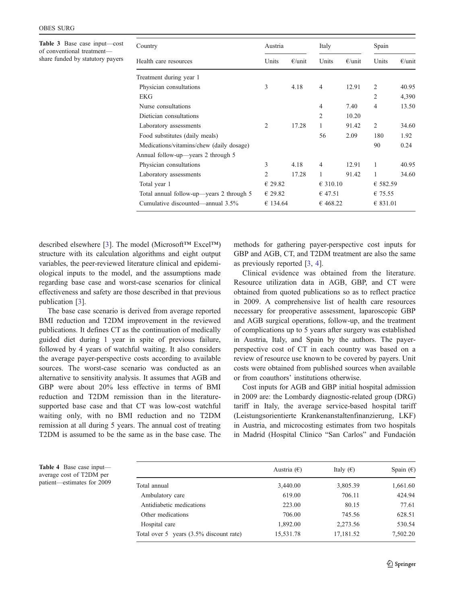<span id="page-2-0"></span>Table 3 Base case input—cost of conventional treatment share funded by statutory payers

| Units          | $\epsilon$ /unit | Units          |           |                      |                                 |
|----------------|------------------|----------------|-----------|----------------------|---------------------------------|
|                |                  |                | $E$ /unit | Units                | $\epsilon$ /unit                |
|                |                  |                |           |                      |                                 |
| 3              | 4.18             | $\overline{4}$ | 12.91     | 2                    | 40.95                           |
|                |                  |                |           | $\overline{c}$       | 4,390                           |
|                |                  | 4              | 7.40      | 4                    | 13.50                           |
|                |                  | $\overline{c}$ | 10.20     |                      |                                 |
| $\overline{2}$ | 17.28            | 1              | 91.42     | 2                    | 34.60                           |
|                |                  | 56             | 2.09      | 180                  | 1.92                            |
|                |                  |                |           | 90                   | 0.24                            |
|                |                  |                |           |                      |                                 |
| 3              | 4.18             | 4              | 12.91     | 1                    | 40.95                           |
| 2              | 17.28            | 1              | 91.42     | 1                    | 34.60                           |
| € 29.82        |                  |                |           |                      |                                 |
| € 29.82        |                  | € 47.51        |           |                      |                                 |
|                |                  |                |           |                      |                                 |
|                |                  | € 134.64       |           | € 310.10<br>€ 468.22 | € 582.59<br>€ 75.55<br>€ 831.01 |

described elsewhere [[3\]](#page-7-0). The model (Microsoft™ Excel™) structure with its calculation algorithms and eight output variables, the peer-reviewed literature clinical and epidemiological inputs to the model, and the assumptions made regarding base case and worst-case scenarios for clinical effectiveness and safety are those described in that previous publication [\[3](#page-7-0)].

The base case scenario is derived from average reported BMI reduction and T2DM improvement in the reviewed publications. It defines CT as the continuation of medically guided diet during 1 year in spite of previous failure, followed by 4 years of watchful waiting. It also considers the average payer-perspective costs according to available sources. The worst-case scenario was conducted as an alternative to sensitivity analysis. It assumes that AGB and GBP were about 20% less effective in terms of BMI reduction and T2DM remission than in the literaturesupported base case and that CT was low-cost watchful waiting only, with no BMI reduction and no T2DM remission at all during 5 years. The annual cost of treating T2DM is assumed to be the same as in the base case. The methods for gathering payer-perspective cost inputs for GBP and AGB, CT, and T2DM treatment are also the same as previously reported [\[3](#page-7-0), [4\]](#page-7-0).

Clinical evidence was obtained from the literature. Resource utilization data in AGB, GBP, and CT were obtained from quoted publications so as to reflect practice in 2009. A comprehensive list of health care resources necessary for preoperative assessment, laparoscopic GBP and AGB surgical operations, follow-up, and the treatment of complications up to 5 years after surgery was established in Austria, Italy, and Spain by the authors. The payerperspective cost of CT in each country was based on a review of resource use known to be covered by payers. Unit costs were obtained from published sources when available or from coauthors' institutions otherwise.

Cost inputs for AGB and GBP initial hospital admission in 2009 are: the Lombardy diagnostic-related group (DRG) tariff in Italy, the average service-based hospital tariff (Leistungsorientierte Krankenanstaltenfinanzierung, LKF) in Austria, and microcosting estimates from two hospitals in Madrid (Hospital Clinico "San Carlos" and Fundación

Table 4 Base case input average cost of T2DM per patient—estimates for 2009

|                                         | Austria $(\epsilon)$ | Italy $(\epsilon)$ | Spain $(\epsilon)$ |
|-----------------------------------------|----------------------|--------------------|--------------------|
| Total annual                            | 3,440.00             | 3,805.39           | 1,661.60           |
| Ambulatory care                         | 619.00               | 706.11             | 424.94             |
| Antidiabetic medications                | 223.00               | 80.15              | 77.61              |
| Other medications                       | 706.00               | 745.56             | 628.51             |
| Hospital care                           | 1,892.00             | 2,273.56           | 530.54             |
| Total over 5 years (3.5% discount rate) | 15,531.78            | 17,181.52          | 7,502.20           |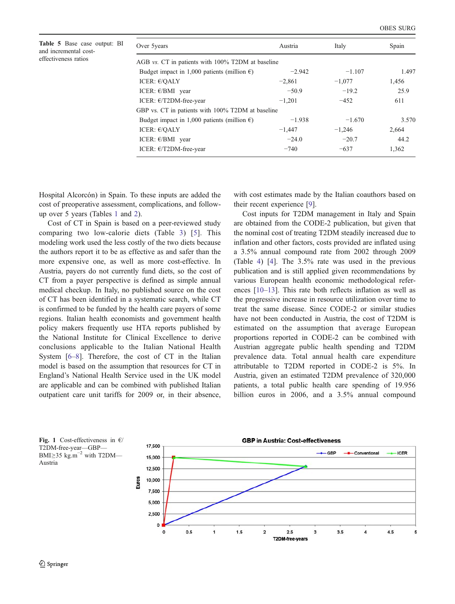<span id="page-3-0"></span>

| Table 5 Base case output: BI |  |
|------------------------------|--|
| and incremental cost-        |  |
| effectiveness ratios         |  |

| Over 5 years                                          | Austria  | Italy    | Spain |
|-------------------------------------------------------|----------|----------|-------|
| AGB vs. CT in patients with 100% T2DM at baseline     |          |          |       |
| Budget impact in 1,000 patients (million $\epsilon$ ) | $-2.942$ | $-1.107$ | 1.497 |
| ICER: $E/QALY$                                        | $-2,861$ | $-1,077$ | 1,456 |
| ICER: $E/BMI$ year                                    | $-50.9$  | $-19.2$  | 25.9  |
| ICER: $E/T2DM$ -free-year                             | $-1,201$ | $-452$   | 611   |
| GBP vs. CT in patients with 100% T2DM at baseline     |          |          |       |
| Budget impact in 1,000 patients (million $\epsilon$ ) | $-1.938$ | $-1.670$ | 3.570 |
| ICER: $E/OALY$                                        | $-1.447$ | $-1,246$ | 2.664 |
| ICER: $E/BMI$ year                                    | $-24.0$  | $-20.7$  | 44.2  |
| ICER: $E/T2DM$ -free-year                             | $-740$   | $-637$   | 1,362 |

Hospital Alcorcón) in Spain. To these inputs are added the cost of preoperative assessment, complications, and followup over 5 years (Tables [1](#page-1-0) and [2\)](#page-1-0).

Cost of CT in Spain is based on a peer-reviewed study comparing two low-calorie diets (Table [3](#page-2-0)) [\[5\]](#page-7-0). This modeling work used the less costly of the two diets because the authors report it to be as effective as and safer than the more expensive one, as well as more cost-effective. In Austria, payers do not currently fund diets, so the cost of CT from a payer perspective is defined as simple annual medical checkup. In Italy, no published source on the cost of CT has been identified in a systematic search, while CT is confirmed to be funded by the health care payers of some regions. Italian health economists and government health policy makers frequently use HTA reports published by the National Institute for Clinical Excellence to derive conclusions applicable to the Italian National Health System [[6](#page-7-0)–[8\]](#page-7-0). Therefore, the cost of CT in the Italian model is based on the assumption that resources for CT in England's National Health Service used in the UK model are applicable and can be combined with published Italian outpatient care unit tariffs for 2009 or, in their absence,

with cost estimates made by the Italian coauthors based on their recent experience [[9\]](#page-7-0).

Cost inputs for T2DM management in Italy and Spain are obtained from the CODE-2 publication, but given that the nominal cost of treating T2DM steadily increased due to inflation and other factors, costs provided are inflated using a 3.5% annual compound rate from 2002 through 2009 (Table [4](#page-2-0)) [\[4](#page-7-0)]. The 3.5% rate was used in the previous publication and is still applied given recommendations by various European health economic methodological references [\[10](#page-7-0)–[13](#page-7-0)]. This rate both reflects inflation as well as the progressive increase in resource utilization over time to treat the same disease. Since CODE-2 or similar studies have not been conducted in Austria, the cost of T2DM is estimated on the assumption that average European proportions reported in CODE-2 can be combined with Austrian aggregate public health spending and T2DM prevalence data. Total annual health care expenditure attributable to T2DM reported in CODE-2 is 5%. In Austria, given an estimated T2DM prevalence of 320,000 patients, a total public health care spending of 19.956 billion euros in 2006, and a 3.5% annual compound



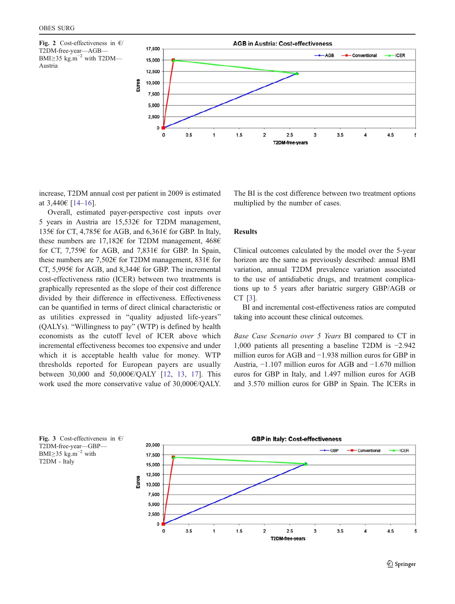<span id="page-4-0"></span>



increase, T2DM annual cost per patient in 2009 is estimated at 3,440€ [\[14](#page-7-0)–[16](#page-7-0)].

Overall, estimated payer-perspective cost inputs over 5 years in Austria are 15,532€ for T2DM management, 135€ for CT, 4,785€ for AGB, and 6,361€ for GBP. In Italy, these numbers are 17,182€ for T2DM management, 468€ for CT, 7,759€ for AGB, and 7,831€ for GBP. In Spain, these numbers are 7,502€ for T2DM management, 831€ for CT, 5,995€ for AGB, and 8,344€ for GBP. The incremental cost-effectiveness ratio (ICER) between two treatments is graphically represented as the slope of their cost difference divided by their difference in effectiveness. Effectiveness can be quantified in terms of direct clinical characteristic or as utilities expressed in "quality adjusted life-years" (QALYs). "Willingness to pay" (WTP) is defined by health economists as the cutoff level of ICER above which incremental effectiveness becomes too expensive and under which it is acceptable health value for money. WTP thresholds reported for European payers are usually between 30,000 and 50,000€/QALY [[12,](#page-7-0) [13,](#page-7-0) [17](#page-7-0)]. This work used the more conservative value of 30,000€/QALY.

The BI is the cost difference between two treatment options multiplied by the number of cases.

## Results

Clinical outcomes calculated by the model over the 5-year horizon are the same as previously described: annual BMI variation, annual T2DM prevalence variation associated to the use of antidiabetic drugs, and treatment complications up to 5 years after bariatric surgery GBP/AGB or CT [\[3](#page-7-0)].

BI and incremental cost-effectiveness ratios are computed taking into account these clinical outcomes.

Base Case Scenario over 5 Years BI compared to CT in 1,000 patients all presenting a baseline T2DM is −2.942 million euros for AGB and −1.938 million euros for GBP in Austria, −1.107 million euros for AGB and −1.670 million euros for GBP in Italy, and 1.497 million euros for AGB and 3.570 million euros for GBP in Spain. The ICERs in



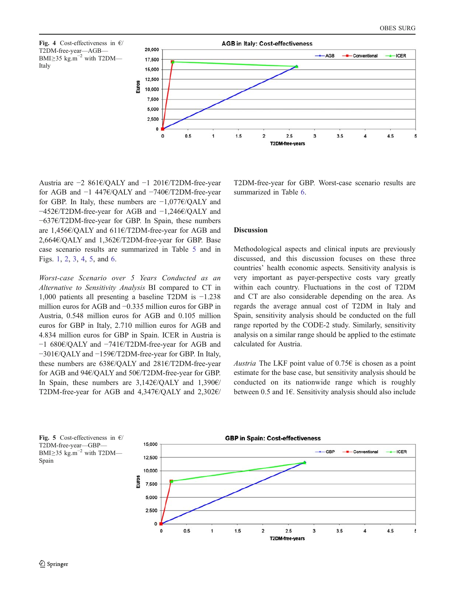



Austria are −2 861€/QALY and −1 201€/T2DM-free-year for AGB and −1 447€/QALY and −740€/T2DM-free-year for GBP. In Italy, these numbers are −1,077€/QALY and −452€/T2DM-free-year for AGB and −1,246€/QALY and −637€/T2DM-free-year for GBP. In Spain, these numbers are 1,456€/QALY and 611€/T2DM-free-year for AGB and 2,664€/QALY and 1,362€/T2DM-free-year for GBP. Base case scenario results are summarized in Table [5](#page-3-0) and in Figs. [1,](#page-3-0) [2,](#page-4-0) [3](#page-4-0), 4, 5, and [6](#page-6-0).

Worst-case Scenario over 5 Years Conducted as an Alternative to Sensitivity Analysis BI compared to CT in 1,000 patients all presenting a baseline T2DM is −1.238 million euros for AGB and −0.335 million euros for GBP in Austria, 0.548 million euros for AGB and 0.105 million euros for GBP in Italy, 2.710 million euros for AGB and 4.834 million euros for GBP in Spain. ICER in Austria is −1 680€/QALY and −741€/T2DM-free-year for AGB and −301€/QALY and −159€/T2DM-free-year for GBP. In Italy, these numbers are 638€/QALY and 281€/T2DM-free-year for AGB and 94€/QALY and 50€/T2DM-free-year for GBP. In Spain, these numbers are 3,142€/QALY and 1,390€/ T2DM-free-year for AGB and 4,347€/QALY and 2,302€/

T2DM-free-year for GBP. Worst-case scenario results are summarized in Table [6.](#page-6-0)

## Discussion

Methodological aspects and clinical inputs are previously discussed, and this discussion focuses on these three countries' health economic aspects. Sensitivity analysis is very important as payer-perspective costs vary greatly within each country. Fluctuations in the cost of T2DM and CT are also considerable depending on the area. As regards the average annual cost of T2DM in Italy and Spain, sensitivity analysis should be conducted on the full range reported by the CODE-2 study. Similarly, sensitivity analysis on a similar range should be applied to the estimate calculated for Austria.

Austria The LKF point value of  $0.75\epsilon$  is chosen as a point estimate for the base case, but sensitivity analysis should be conducted on its nationwide range which is roughly between 0.5 and 1€. Sensitivity analysis should also include



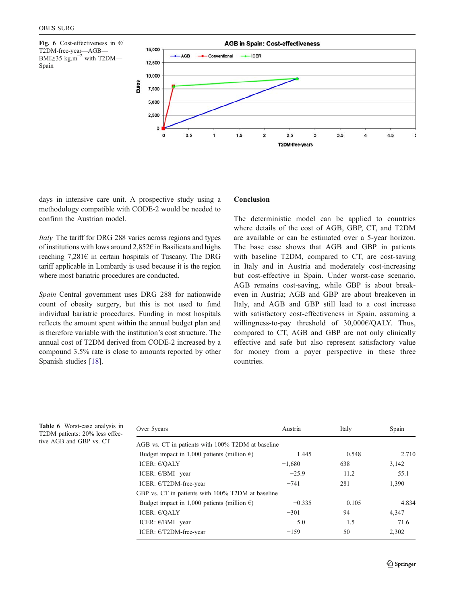<span id="page-6-0"></span>Fig. 6 Cost-effectiveness in  $\epsilon$ / T2DM-free-year—AGB— BMI≥35 kg.m<sup>-2</sup> with T2DM— Spain



days in intensive care unit. A prospective study using a methodology compatible with CODE-2 would be needed to confirm the Austrian model.

Italy The tariff for DRG 288 varies across regions and types of institutions with lows around  $2.852\epsilon$  in Basilicata and highs reaching  $7,281 \in \mathbb{R}$  in certain hospitals of Tuscany. The DRG tariff applicable in Lombardy is used because it is the region where most bariatric procedures are conducted.

Spain Central government uses DRG 288 for nationwide count of obesity surgery, but this is not used to fund individual bariatric procedures. Funding in most hospitals reflects the amount spent within the annual budget plan and is therefore variable with the institution's cost structure. The annual cost of T2DM derived from CODE-2 increased by a compound 3.5% rate is close to amounts reported by other Spanish studies [[18\]](#page-7-0).

## Conclusion

The deterministic model can be applied to countries where details of the cost of AGB, GBP, CT, and T2DM are available or can be estimated over a 5-year horizon. The base case shows that AGB and GBP in patients with baseline T2DM, compared to CT, are cost-saving in Italy and in Austria and moderately cost-increasing but cost-effective in Spain. Under worst-case scenario, AGB remains cost-saving, while GBP is about breakeven in Austria; AGB and GBP are about breakeven in Italy, and AGB and GBP still lead to a cost increase with satisfactory cost-effectiveness in Spain, assuming a willingness-to-pay threshold of 30,000€/QALY. Thus, compared to CT, AGB and GBP are not only clinically effective and safe but also represent satisfactory value for money from a payer perspective in these three countries.

Table 6 Worst-case analysis in T2DM patients: 20% less effective AGB and GBP vs. CT

| Over 5 years                                          | Austria  | Italy | Spain |  |
|-------------------------------------------------------|----------|-------|-------|--|
| AGB vs. CT in patients with 100% T2DM at baseline     |          |       |       |  |
| Budget impact in 1,000 patients (million $\epsilon$ ) | $-1.445$ | 0.548 | 2.710 |  |
| ICER: $E/QALY$                                        | $-1,680$ | 638   | 3,142 |  |
| ICER: $E/BMI$ year                                    | $-25.9$  | 11.2  | 55.1  |  |
| ICER: $E/T2DM$ -free-year                             | $-741$   | 281   | 1.390 |  |
| GBP vs. CT in patients with 100% T2DM at baseline     |          |       |       |  |
| Budget impact in 1,000 patients (million $\epsilon$ ) | $-0.335$ | 0.105 | 4.834 |  |
| ICER: $E/OALY$                                        | $-301$   | 94    | 4.347 |  |
| ICER: $E/BMI$ year                                    | $-5.0$   | 1.5   | 71.6  |  |
| ICER: $E/T2DM$ -free-year                             | $-1.59$  | 50    | 2.302 |  |